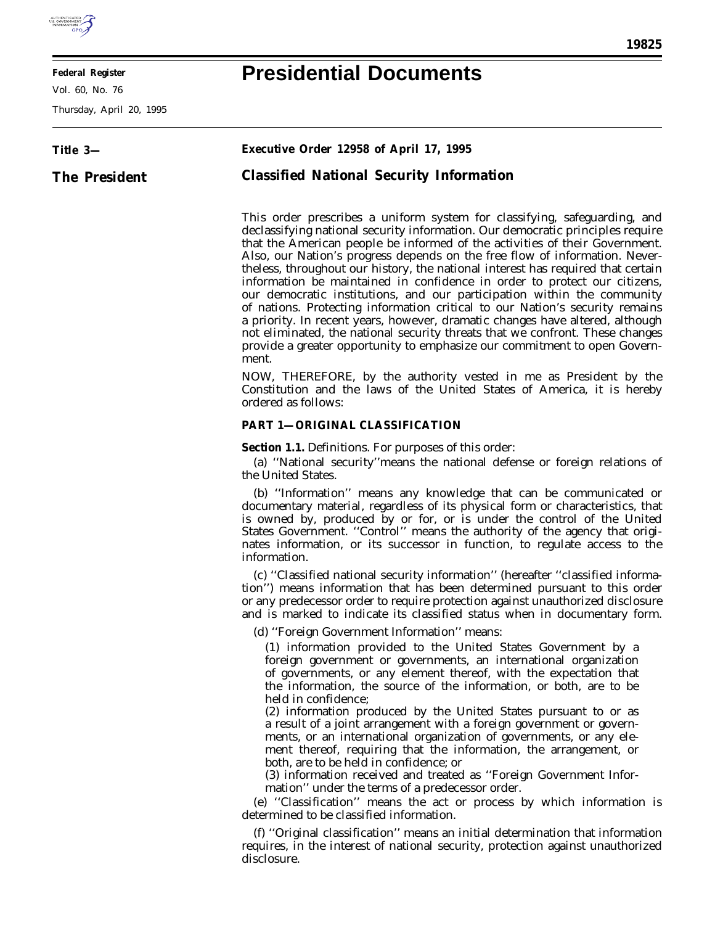

Ξ

# **Federal Register**

Vol. 60, No. 76

Thursday, April 20, 1995

# **Presidential Documents**

| Title 3-             | <b>Executive Order 12958 of April 17, 1995</b>                                                                                                                                                                                                                                                                                                                                                                                                                                                                                                                                                                                                                                                                                                                                                                                                                                                                |
|----------------------|---------------------------------------------------------------------------------------------------------------------------------------------------------------------------------------------------------------------------------------------------------------------------------------------------------------------------------------------------------------------------------------------------------------------------------------------------------------------------------------------------------------------------------------------------------------------------------------------------------------------------------------------------------------------------------------------------------------------------------------------------------------------------------------------------------------------------------------------------------------------------------------------------------------|
| <b>The President</b> | <b>Classified National Security Information</b>                                                                                                                                                                                                                                                                                                                                                                                                                                                                                                                                                                                                                                                                                                                                                                                                                                                               |
|                      | This order prescribes a uniform system for classifying, safeguarding, and<br>declassifying national security information. Our democratic principles require<br>that the American people be informed of the activities of their Government.<br>Also, our Nation's progress depends on the free flow of information. Never-<br>theless, throughout our history, the national interest has required that certain<br>information be maintained in confidence in order to protect our citizens,<br>our democratic institutions, and our participation within the community<br>of nations. Protecting information critical to our Nation's security remains<br>a priority. In recent years, however, dramatic changes have altered, although<br>not eliminated, the national security threats that we confront. These changes<br>provide a greater opportunity to emphasize our commitment to open Govern-<br>ment. |
|                      | NOW, THEREFORE, by the authority vested in me as President by the<br>Constitution and the laws of the United States of America, it is hereby<br>ordered as follows:                                                                                                                                                                                                                                                                                                                                                                                                                                                                                                                                                                                                                                                                                                                                           |
|                      | <b>PART 1-ORIGINAL CLASSIFICATION</b>                                                                                                                                                                                                                                                                                                                                                                                                                                                                                                                                                                                                                                                                                                                                                                                                                                                                         |
|                      | <b>Section 1.1.</b> <i>Definitions</i> . For purposes of this order:<br>(a) "National security" means the national defense or foreign relations of<br>the United States.                                                                                                                                                                                                                                                                                                                                                                                                                                                                                                                                                                                                                                                                                                                                      |
|                      | (b) "Information" means any knowledge that can be communicated or<br>documentary material, regardless of its physical form or characteristics, that<br>is owned by, produced by or for, or is under the control of the United<br>States Government. "Control" means the authority of the agency that origi-<br>nates information, or its successor in function, to regulate access to the<br>information.                                                                                                                                                                                                                                                                                                                                                                                                                                                                                                     |
|                      | (c) "Classified national security information" (hereafter "classified informa-<br>tion") means information that has been determined pursuant to this order<br>or any predecessor order to require protection against unauthorized disclosure<br>and is marked to indicate its classified status when in documentary form.                                                                                                                                                                                                                                                                                                                                                                                                                                                                                                                                                                                     |
|                      | (d) "Foreign Government Information" means:<br>(1) information provided to the United States Government by a<br>foreign government or governments, an international organization<br>of governments, or any element thereof, with the expectation that<br>the information, the source of the information, or both, are to be<br>held in confidence;<br>(2) information produced by the United States pursuant to or as<br>a result of a joint arrangement with a foreign government or govern-<br>ments, or an international organization of governments, or any ele-<br>ment thereof, requiring that the information, the arrangement, or<br>both, are to be held in confidence; or                                                                                                                                                                                                                           |
|                      | (3) information received and treated as "Foreign Government Infor-<br>mation" under the terms of a predecessor order.<br>(e) "Classification" means the act or process by which information is<br>determined to be classified information.                                                                                                                                                                                                                                                                                                                                                                                                                                                                                                                                                                                                                                                                    |
|                      | (f) "Original classification" means an initial determination that information<br>requires, in the interest of national security, protection against unauthorized                                                                                                                                                                                                                                                                                                                                                                                                                                                                                                                                                                                                                                                                                                                                              |

disclosure.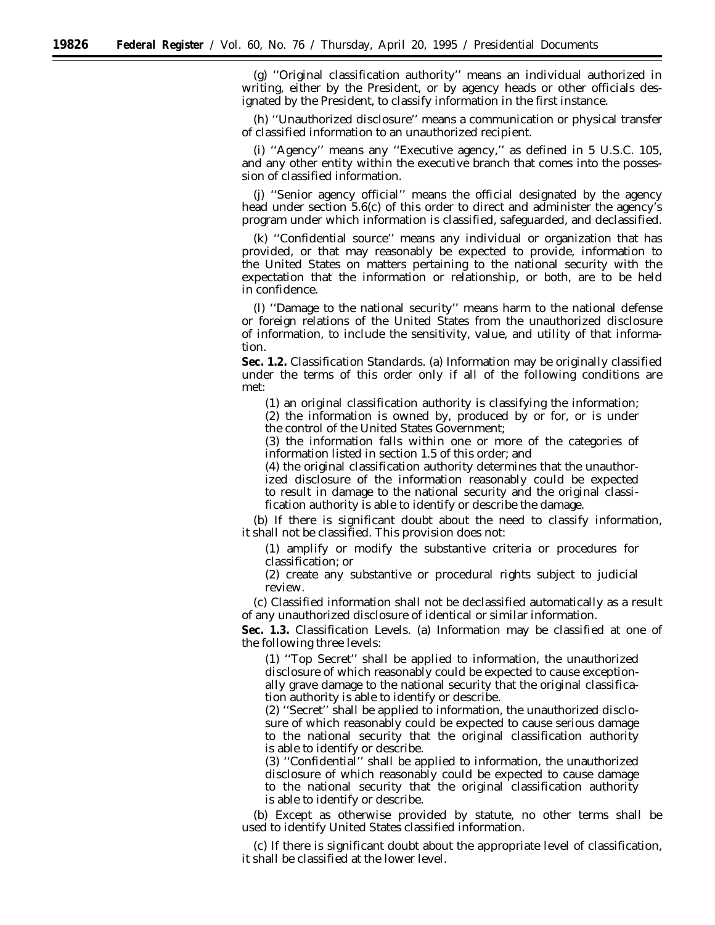(g) ''Original classification authority'' means an individual authorized in writing, either by the President, or by agency heads or other officials designated by the President, to classify information in the first instance.

(h) ''Unauthorized disclosure'' means a communication or physical transfer of classified information to an unauthorized recipient.

(i) ''Agency'' means any ''Executive agency,'' as defined in 5 U.S.C. 105, and any other entity within the executive branch that comes into the possession of classified information.

(j) ''Senior agency official'' means the official designated by the agency head under section 5.6(c) of this order to direct and administer the agency's program under which information is classified, safeguarded, and declassified.

(k) ''Confidential source'' means any individual or organization that has provided, or that may reasonably be expected to provide, information to the United States on matters pertaining to the national security with the expectation that the information or relationship, or both, are to be held in confidence.

(l) ''Damage to the national security'' means harm to the national defense or foreign relations of the United States from the unauthorized disclosure of information, to include the sensitivity, value, and utility of that information.

**Sec. 1.2.** *Classification Standards*. (a) Information may be originally classified under the terms of this order only if all of the following conditions are met:

(1) an original classification authority is classifying the information;

(2) the information is owned by, produced by or for, or is under the control of the United States Government;

(3) the information falls within one or more of the categories of information listed in section 1.5 of this order; and

(4) the original classification authority determines that the unauthor-

ized disclosure of the information reasonably could be expected to result in damage to the national security and the original classification authority is able to identify or describe the damage.

(b) If there is significant doubt about the need to classify information, it shall not be classified. This provision does not:

(1) amplify or modify the substantive criteria or procedures for classification; or

(2) create any substantive or procedural rights subject to judicial review.

(c) Classified information shall not be declassified automatically as a result of any unauthorized disclosure of identical or similar information.

**Sec. 1.3.** *Classification Levels.* (a) Information may be classified at one of the following three levels:

(1) ''Top Secret'' shall be applied to information, the unauthorized disclosure of which reasonably could be expected to cause exceptionally grave damage to the national security that the original classification authority is able to identify or describe.

(2) ''Secret'' shall be applied to information, the unauthorized disclosure of which reasonably could be expected to cause serious damage to the national security that the original classification authority is able to identify or describe.

(3) ''Confidential'' shall be applied to information, the unauthorized disclosure of which reasonably could be expected to cause damage to the national security that the original classification authority is able to identify or describe.

(b) Except as otherwise provided by statute, no other terms shall be used to identify United States classified information.

(c) If there is significant doubt about the appropriate level of classification, it shall be classified at the lower level.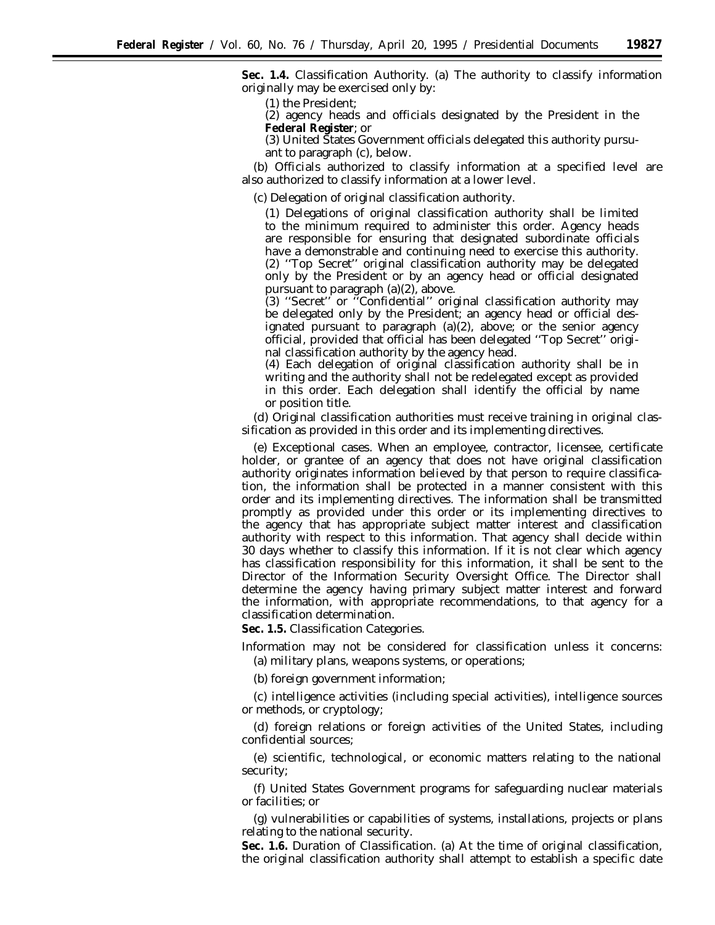**Sec. 1.4.** *Classification Authority*. (a) The authority to classify information originally may be exercised only by:

(1) the President;

(2) agency heads and officials designated by the President in the **Federal Register**; or

(3) United States Government officials delegated this authority pursuant to paragraph (c), below.

(b) Officials authorized to classify information at a specified level are also authorized to classify information at a lower level.

(c) Delegation of original classification authority.

(1) Delegations of original classification authority shall be limited to the minimum required to administer this order. Agency heads are responsible for ensuring that designated subordinate officials have a demonstrable and continuing need to exercise this authority. (2) ''Top Secret'' original classification authority may be delegated only by the President or by an agency head or official designated pursuant to paragraph (a)(2), above.

(3) ''Secret'' or ''Confidential'' original classification authority may be delegated only by the President; an agency head or official designated pursuant to paragraph (a)(2), above; or the senior agency official, provided that official has been delegated ''Top Secret'' original classification authority by the agency head.

(4) Each delegation of original classification authority shall be in writing and the authority shall not be redelegated except as provided in this order. Each delegation shall identify the official by name or position title.

(d) Original classification authorities must receive training in original classification as provided in this order and its implementing directives.

(e) Exceptional cases. When an employee, contractor, licensee, certificate holder, or grantee of an agency that does not have original classification authority originates information believed by that person to require classification, the information shall be protected in a manner consistent with this order and its implementing directives. The information shall be transmitted promptly as provided under this order or its implementing directives to the agency that has appropriate subject matter interest and classification authority with respect to this information. That agency shall decide within 30 days whether to classify this information. If it is not clear which agency has classification responsibility for this information, it shall be sent to the Director of the Information Security Oversight Office. The Director shall determine the agency having primary subject matter interest and forward the information, with appropriate recommendations, to that agency for a classification determination.

**Sec. 1.5.** *Classification Categories.*

Information may not be considered for classification unless it concerns: (a) military plans, weapons systems, or operations;

(b) foreign government information;

(c) intelligence activities (including special activities), intelligence sources or methods, or cryptology;

(d) foreign relations or foreign activities of the United States, including confidential sources;

(e) scientific, technological, or economic matters relating to the national security;

(f) United States Government programs for safeguarding nuclear materials or facilities; or

(g) vulnerabilities or capabilities of systems, installations, projects or plans relating to the national security.

**Sec. 1.6.** *Duration of Classification*. (a) At the time of original classification, the original classification authority shall attempt to establish a specific date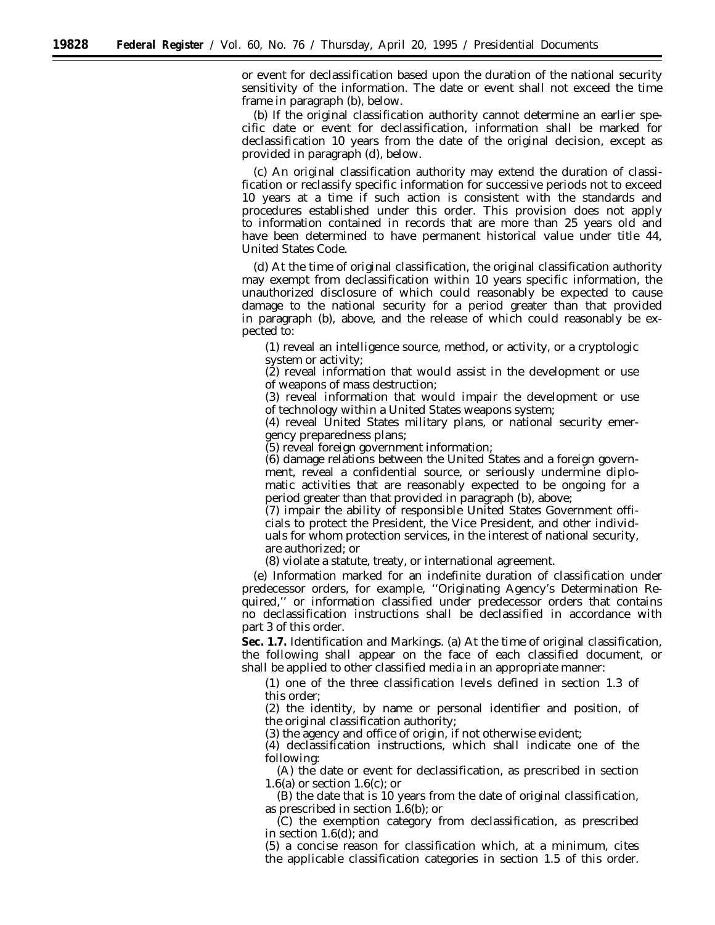or event for declassification based upon the duration of the national security sensitivity of the information. The date or event shall not exceed the time frame in paragraph (b), below.

(b) If the original classification authority cannot determine an earlier specific date or event for declassification, information shall be marked for declassification 10 years from the date of the original decision, except as provided in paragraph (d), below.

(c) An original classification authority may extend the duration of classification or reclassify specific information for successive periods not to exceed 10 years at a time if such action is consistent with the standards and procedures established under this order. This provision does not apply to information contained in records that are more than 25 years old and have been determined to have permanent historical value under title 44, United States Code.

(d) At the time of original classification, the original classification authority may exempt from declassification within 10 years specific information, the unauthorized disclosure of which could reasonably be expected to cause damage to the national security for a period greater than that provided in paragraph (b), above, and the release of which could reasonably be expected to:

(1) reveal an intelligence source, method, or activity, or a cryptologic system or activity;

(2) reveal information that would assist in the development or use of weapons of mass destruction;

(3) reveal information that would impair the development or use of technology within a United States weapons system;

(4) reveal United States military plans, or national security emergency preparedness plans;

(5) reveal foreign government information;

(6) damage relations between the United States and a foreign government, reveal a confidential source, or seriously undermine diplomatic activities that are reasonably expected to be ongoing for a period greater than that provided in paragraph (b), above;

(7) impair the ability of responsible United States Government officials to protect the President, the Vice President, and other individuals for whom protection services, in the interest of national security, are authorized; or

(8) violate a statute, treaty, or international agreement.

(e) Information marked for an indefinite duration of classification under predecessor orders, for example, ''Originating Agency's Determination Required,'' or information classified under predecessor orders that contains no declassification instructions shall be declassified in accordance with part 3 of this order.

**Sec. 1.7.** *Identification and Markings*. (a) At the time of original classification, the following shall appear on the face of each classified document, or shall be applied to other classified media in an appropriate manner:

(1) one of the three classification levels defined in section 1.3 of this order;

(2) the identity, by name or personal identifier and position, of the original classification authority;

(3) the agency and office of origin, if not otherwise evident;

(4) declassification instructions, which shall indicate one of the following:

(A) the date or event for declassification, as prescribed in section 1.6(a) or section 1.6(c); or

(B) the date that is 10 years from the date of original classification, as prescribed in section 1.6(b); or

(C) the exemption category from declassification, as prescribed in section 1.6(d); and

(5) a concise reason for classification which, at a minimum, cites the applicable classification categories in section 1.5 of this order.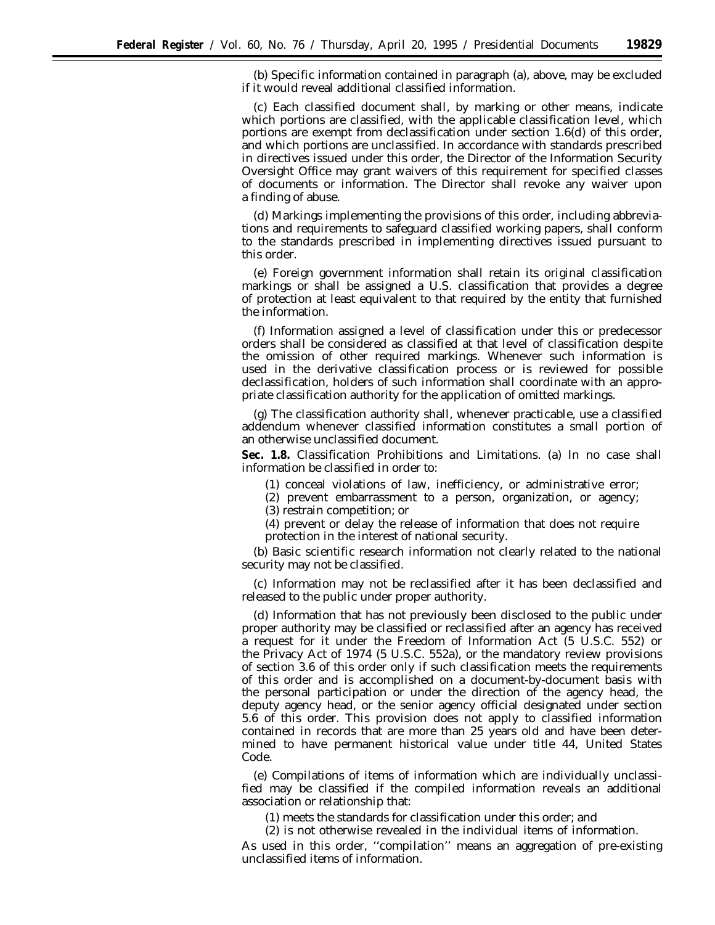(b) Specific information contained in paragraph (a), above, may be excluded if it would reveal additional classified information.

(c) Each classified document shall, by marking or other means, indicate which portions are classified, with the applicable classification level, which portions are exempt from declassification under section 1.6(d) of this order, and which portions are unclassified. In accordance with standards prescribed in directives issued under this order, the Director of the Information Security Oversight Office may grant waivers of this requirement for specified classes of documents or information. The Director shall revoke any waiver upon a finding of abuse.

(d) Markings implementing the provisions of this order, including abbreviations and requirements to safeguard classified working papers, shall conform to the standards prescribed in implementing directives issued pursuant to this order.

(e) Foreign government information shall retain its original classification markings or shall be assigned a U.S. classification that provides a degree of protection at least equivalent to that required by the entity that furnished the information.

(f) Information assigned a level of classification under this or predecessor orders shall be considered as classified at that level of classification despite the omission of other required markings. Whenever such information is used in the derivative classification process or is reviewed for possible declassification, holders of such information shall coordinate with an appropriate classification authority for the application of omitted markings.

(g) The classification authority shall, whenever practicable, use a classified addendum whenever classified information constitutes a small portion of an otherwise unclassified document.

**Sec. 1.8.** *Classification Prohibitions and Limitations*. (a) In no case shall information be classified in order to:

(1) conceal violations of law, inefficiency, or administrative error;

(2) prevent embarrassment to a person, organization, or agency;

(3) restrain competition; or

(4) prevent or delay the release of information that does not require protection in the interest of national security.

(b) Basic scientific research information not clearly related to the national security may not be classified.

(c) Information may not be reclassified after it has been declassified and released to the public under proper authority.

(d) Information that has not previously been disclosed to the public under proper authority may be classified or reclassified after an agency has received a request for it under the Freedom of Information Act (5 U.S.C. 552) or the Privacy Act of 1974 (5 U.S.C. 552a), or the mandatory review provisions of section 3.6 of this order only if such classification meets the requirements of this order and is accomplished on a document-by-document basis with the personal participation or under the direction of the agency head, the deputy agency head, or the senior agency official designated under section 5.6 of this order. This provision does not apply to classified information contained in records that are more than 25 years old and have been determined to have permanent historical value under title 44, United States Code.

(e) Compilations of items of information which are individually unclassified may be classified if the compiled information reveals an additional association or relationship that:

(1) meets the standards for classification under this order; and

(2) is not otherwise revealed in the individual items of information.

As used in this order, ''compilation'' means an aggregation of pre-existing unclassified items of information.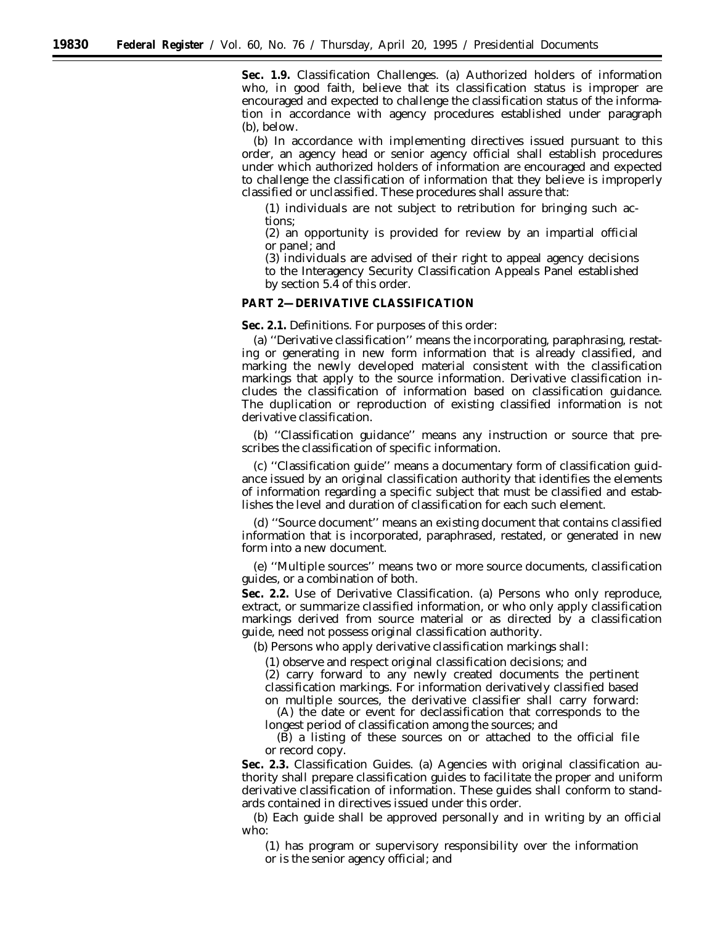**Sec. 1.9.** *Classification Challenges*. (a) Authorized holders of information who, in good faith, believe that its classification status is improper are encouraged and expected to challenge the classification status of the information in accordance with agency procedures established under paragraph (b), below.

(b) In accordance with implementing directives issued pursuant to this order, an agency head or senior agency official shall establish procedures under which authorized holders of information are encouraged and expected to challenge the classification of information that they believe is improperly classified or unclassified. These procedures shall assure that:

(1) individuals are not subject to retribution for bringing such actions;

(2) an opportunity is provided for review by an impartial official or panel; and

(3) individuals are advised of their right to appeal agency decisions to the Interagency Security Classification Appeals Panel established by section 5.4 of this order.

## **PART 2—DERIVATIVE CLASSIFICATION**

**Sec. 2.1.** *Definitions*. For purposes of this order:

(a) ''Derivative classification'' means the incorporating, paraphrasing, restating or generating in new form information that is already classified, and marking the newly developed material consistent with the classification markings that apply to the source information. Derivative classification includes the classification of information based on classification guidance. The duplication or reproduction of existing classified information is not derivative classification.

(b) ''Classification guidance'' means any instruction or source that prescribes the classification of specific information.

(c) ''Classification guide'' means a documentary form of classification guidance issued by an original classification authority that identifies the elements of information regarding a specific subject that must be classified and establishes the level and duration of classification for each such element.

(d) ''Source document'' means an existing document that contains classified information that is incorporated, paraphrased, restated, or generated in new form into a new document.

(e) ''Multiple sources'' means two or more source documents, classification guides, or a combination of both.

**Sec. 2.2.** *Use of Derivative Classification*. (a) Persons who only reproduce, extract, or summarize classified information, or who only apply classification markings derived from source material or as directed by a classification guide, need not possess original classification authority.

(b) Persons who apply derivative classification markings shall:

(1) observe and respect original classification decisions; and

(2) carry forward to any newly created documents the pertinent classification markings. For information derivatively classified based

on multiple sources, the derivative classifier shall carry forward:

(A) the date or event for declassification that corresponds to the longest period of classification among the sources; and

(B) a listing of these sources on or attached to the official file or record copy.

**Sec. 2.3.** *Classification Guides*. (a) Agencies with original classification authority shall prepare classification guides to facilitate the proper and uniform derivative classification of information. These guides shall conform to standards contained in directives issued under this order.

(b) Each guide shall be approved personally and in writing by an official who:

(1) has program or supervisory responsibility over the information or is the senior agency official; and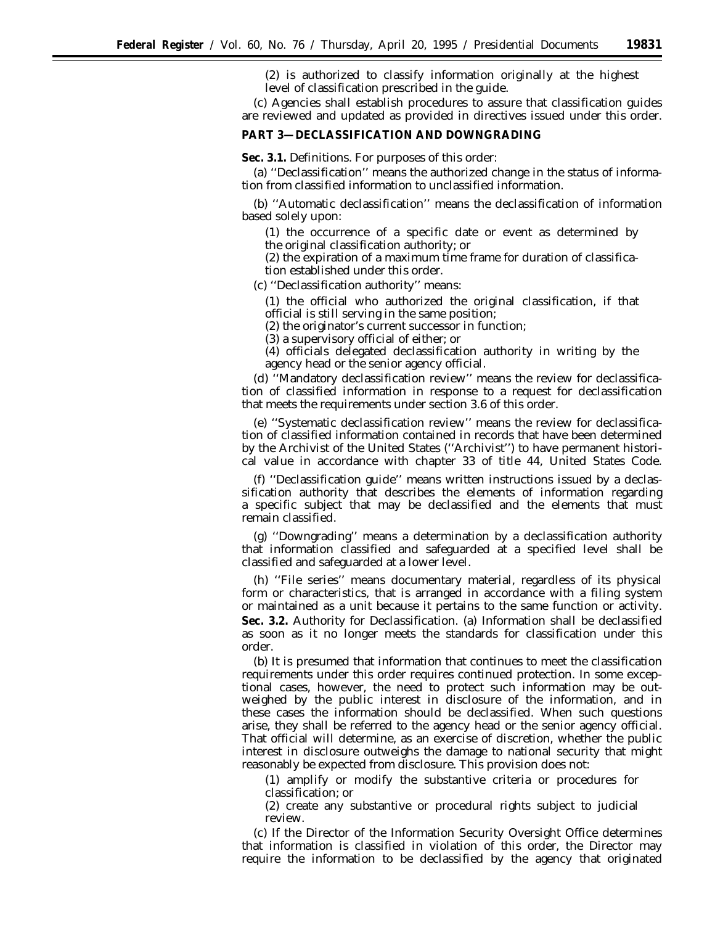(2) is authorized to classify information originally at the highest level of classification prescribed in the guide.

(c) Agencies shall establish procedures to assure that classification guides are reviewed and updated as provided in directives issued under this order.

## **PART 3—DECLASSIFICATION AND DOWNGRADING**

**Sec. 3.1.** *Definitions*. For purposes of this order:

(a) ''Declassification'' means the authorized change in the status of information from classified information to unclassified information.

(b) ''Automatic declassification'' means the declassification of information based solely upon:

(1) the occurrence of a specific date or event as determined by the original classification authority; or

(2) the expiration of a maximum time frame for duration of classification established under this order.

(c) ''Declassification authority'' means:

(1) the official who authorized the original classification, if that official is still serving in the same position;

(2) the originator's current successor in function;

(3) a supervisory official of either; or

(4) officials delegated declassification authority in writing by the agency head or the senior agency official.

(d) ''Mandatory declassification review'' means the review for declassification of classified information in response to a request for declassification that meets the requirements under section 3.6 of this order.

(e) ''Systematic declassification review'' means the review for declassification of classified information contained in records that have been determined by the Archivist of the United States (''Archivist'') to have permanent historical value in accordance with chapter 33 of title 44, United States Code.

(f) ''Declassification guide'' means written instructions issued by a declassification authority that describes the elements of information regarding a specific subject that may be declassified and the elements that must remain classified.

(g) ''Downgrading'' means a determination by a declassification authority that information classified and safeguarded at a specified level shall be classified and safeguarded at a lower level.

(h) ''File series'' means documentary material, regardless of its physical form or characteristics, that is arranged in accordance with a filing system or maintained as a unit because it pertains to the same function or activity. **Sec. 3.2.** *Authority for Declassification*. (a) Information shall be declassified as soon as it no longer meets the standards for classification under this order.

(b) It is presumed that information that continues to meet the classification requirements under this order requires continued protection. In some exceptional cases, however, the need to protect such information may be outweighed by the public interest in disclosure of the information, and in these cases the information should be declassified. When such questions arise, they shall be referred to the agency head or the senior agency official. That official will determine, as an exercise of discretion, whether the public interest in disclosure outweighs the damage to national security that might reasonably be expected from disclosure. This provision does not:

(1) amplify or modify the substantive criteria or procedures for classification; or

(2) create any substantive or procedural rights subject to judicial review.

(c) If the Director of the Information Security Oversight Office determines that information is classified in violation of this order, the Director may require the information to be declassified by the agency that originated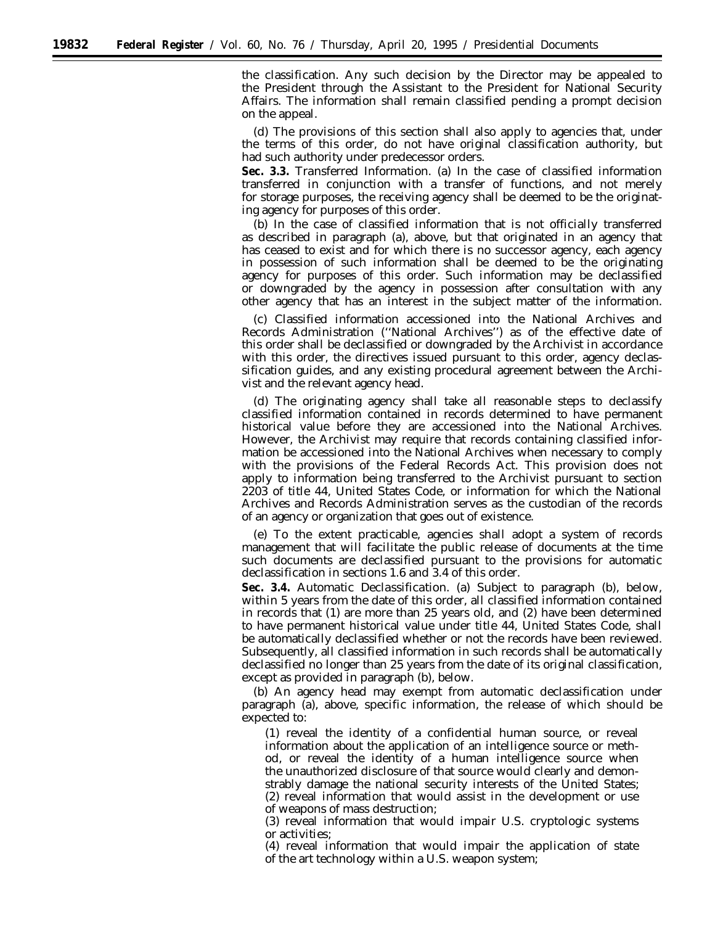the classification. Any such decision by the Director may be appealed to the President through the Assistant to the President for National Security Affairs. The information shall remain classified pending a prompt decision on the appeal.

(d) The provisions of this section shall also apply to agencies that, under the terms of this order, do not have original classification authority, but had such authority under predecessor orders.

**Sec. 3.3.** *Transferred Information*. (a) In the case of classified information transferred in conjunction with a transfer of functions, and not merely for storage purposes, the receiving agency shall be deemed to be the originating agency for purposes of this order.

(b) In the case of classified information that is not officially transferred as described in paragraph (a), above, but that originated in an agency that has ceased to exist and for which there is no successor agency, each agency in possession of such information shall be deemed to be the originating agency for purposes of this order. Such information may be declassified or downgraded by the agency in possession after consultation with any other agency that has an interest in the subject matter of the information.

(c) Classified information accessioned into the National Archives and Records Administration (''National Archives'') as of the effective date of this order shall be declassified or downgraded by the Archivist in accordance with this order, the directives issued pursuant to this order, agency declassification guides, and any existing procedural agreement between the Archivist and the relevant agency head.

(d) The originating agency shall take all reasonable steps to declassify classified information contained in records determined to have permanent historical value before they are accessioned into the National Archives. However, the Archivist may require that records containing classified information be accessioned into the National Archives when necessary to comply with the provisions of the Federal Records Act. This provision does not apply to information being transferred to the Archivist pursuant to section 2203 of title 44, United States Code, or information for which the National Archives and Records Administration serves as the custodian of the records of an agency or organization that goes out of existence.

(e) To the extent practicable, agencies shall adopt a system of records management that will facilitate the public release of documents at the time such documents are declassified pursuant to the provisions for automatic declassification in sections 1.6 and 3.4 of this order.

**Sec. 3.4.** *Automatic Declassification*. (a) Subject to paragraph (b), below, within 5 years from the date of this order, all classified information contained in records that (1) are more than 25 years old, and (2) have been determined to have permanent historical value under title 44, United States Code, shall be automatically declassified whether or not the records have been reviewed. Subsequently, all classified information in such records shall be automatically declassified no longer than 25 years from the date of its original classification, except as provided in paragraph (b), below.

(b) An agency head may exempt from automatic declassification under paragraph (a), above, specific information, the release of which should be expected to:

(1) reveal the identity of a confidential human source, or reveal information about the application of an intelligence source or method, or reveal the identity of a human intelligence source when the unauthorized disclosure of that source would clearly and demonstrably damage the national security interests of the United States; (2) reveal information that would assist in the development or use of weapons of mass destruction;

(3) reveal information that would impair U.S. cryptologic systems or activities;

(4) reveal information that would impair the application of state of the art technology within a U.S. weapon system;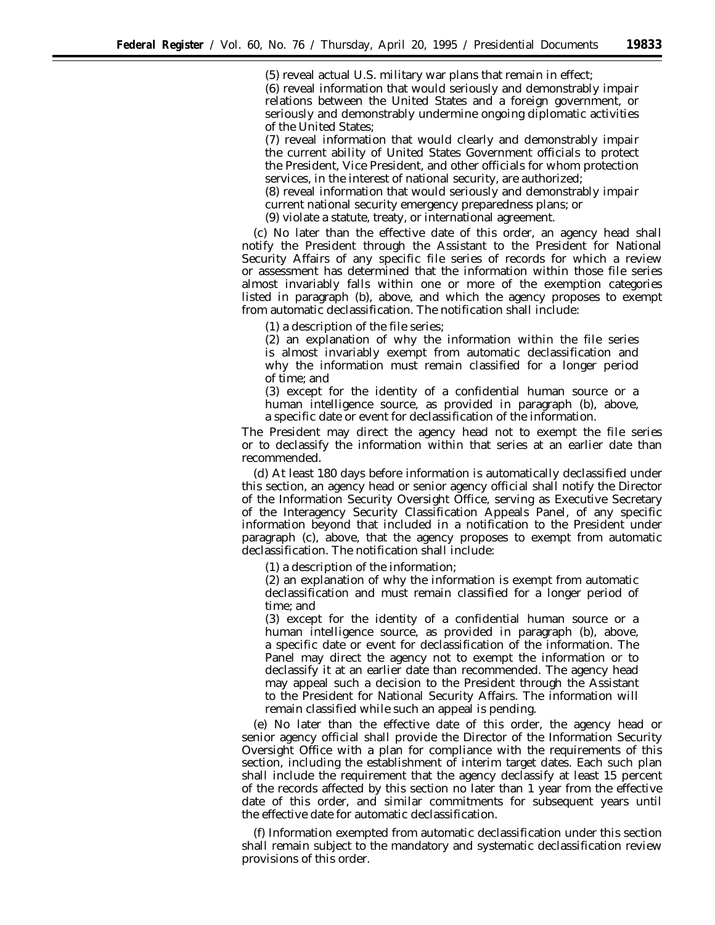(5) reveal actual U.S. military war plans that remain in effect; (6) reveal information that would seriously and demonstrably impair relations between the United States and a foreign government, or seriously and demonstrably undermine ongoing diplomatic activities of the United States;

(7) reveal information that would clearly and demonstrably impair the current ability of United States Government officials to protect the President, Vice President, and other officials for whom protection services, in the interest of national security, are authorized;

(8) reveal information that would seriously and demonstrably impair current national security emergency preparedness plans; or

(9) violate a statute, treaty, or international agreement.

(c) No later than the effective date of this order, an agency head shall notify the President through the Assistant to the President for National Security Affairs of any specific file series of records for which a review or assessment has determined that the information within those file series almost invariably falls within one or more of the exemption categories listed in paragraph (b), above, and which the agency proposes to exempt from automatic declassification. The notification shall include:

(1) a description of the file series;

(2) an explanation of why the information within the file series is almost invariably exempt from automatic declassification and why the information must remain classified for a longer period of time; and

(3) except for the identity of a confidential human source or a human intelligence source, as provided in paragraph (b), above, a specific date or event for declassification of the information.

The President may direct the agency head not to exempt the file series or to declassify the information within that series at an earlier date than recommended.

(d) At least 180 days before information is automatically declassified under this section, an agency head or senior agency official shall notify the Director of the Information Security Oversight Office, serving as Executive Secretary of the Interagency Security Classification Appeals Panel, of any specific information beyond that included in a notification to the President under paragraph (c), above, that the agency proposes to exempt from automatic declassification. The notification shall include:

(1) a description of the information;

(2) an explanation of why the information is exempt from automatic declassification and must remain classified for a longer period of time; and

(3) except for the identity of a confidential human source or a human intelligence source, as provided in paragraph (b), above, a specific date or event for declassification of the information. The Panel may direct the agency not to exempt the information or to declassify it at an earlier date than recommended. The agency head may appeal such a decision to the President through the Assistant to the President for National Security Affairs. The information will remain classified while such an appeal is pending.

(e) No later than the effective date of this order, the agency head or senior agency official shall provide the Director of the Information Security Oversight Office with a plan for compliance with the requirements of this section, including the establishment of interim target dates. Each such plan shall include the requirement that the agency declassify at least 15 percent of the records affected by this section no later than 1 year from the effective date of this order, and similar commitments for subsequent years until the effective date for automatic declassification.

(f) Information exempted from automatic declassification under this section shall remain subject to the mandatory and systematic declassification review provisions of this order.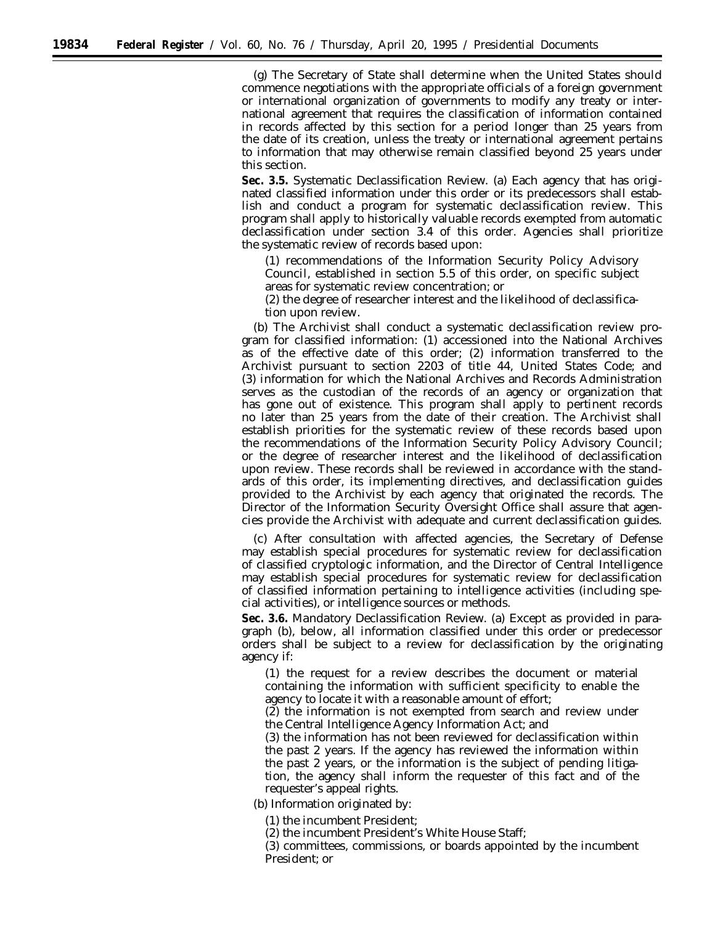(g) The Secretary of State shall determine when the United States should commence negotiations with the appropriate officials of a foreign government or international organization of governments to modify any treaty or international agreement that requires the classification of information contained in records affected by this section for a period longer than 25 years from the date of its creation, unless the treaty or international agreement pertains to information that may otherwise remain classified beyond 25 years under this section.

**Sec. 3.5.** *Systematic Declassification Review*. (a) Each agency that has originated classified information under this order or its predecessors shall establish and conduct a program for systematic declassification review. This program shall apply to historically valuable records exempted from automatic declassification under section 3.4 of this order. Agencies shall prioritize the systematic review of records based upon:

(1) recommendations of the Information Security Policy Advisory Council, established in section 5.5 of this order, on specific subject areas for systematic review concentration; or

(2) the degree of researcher interest and the likelihood of declassification upon review.

(b) The Archivist shall conduct a systematic declassification review program for classified information: (1) accessioned into the National Archives as of the effective date of this order; (2) information transferred to the Archivist pursuant to section 2203 of title 44, United States Code; and (3) information for which the National Archives and Records Administration serves as the custodian of the records of an agency or organization that has gone out of existence. This program shall apply to pertinent records no later than 25 years from the date of their creation. The Archivist shall establish priorities for the systematic review of these records based upon the recommendations of the Information Security Policy Advisory Council; or the degree of researcher interest and the likelihood of declassification upon review. These records shall be reviewed in accordance with the standards of this order, its implementing directives, and declassification guides provided to the Archivist by each agency that originated the records. The Director of the Information Security Oversight Office shall assure that agencies provide the Archivist with adequate and current declassification guides.

(c) After consultation with affected agencies, the Secretary of Defense may establish special procedures for systematic review for declassification of classified cryptologic information, and the Director of Central Intelligence may establish special procedures for systematic review for declassification of classified information pertaining to intelligence activities (including special activities), or intelligence sources or methods.

**Sec. 3.6.** *Mandatory Declassification Review*. (a) Except as provided in paragraph (b), below, all information classified under this order or predecessor orders shall be subject to a review for declassification by the originating agency if:

(1) the request for a review describes the document or material containing the information with sufficient specificity to enable the agency to locate it with a reasonable amount of effort;

(2) the information is not exempted from search and review under the Central Intelligence Agency Information Act; and

(3) the information has not been reviewed for declassification within the past 2 years. If the agency has reviewed the information within the past 2 years, or the information is the subject of pending litigation, the agency shall inform the requester of this fact and of the requester's appeal rights.

(b) Information originated by:

(1) the incumbent President;

(2) the incumbent President's White House Staff;

(3) committees, commissions, or boards appointed by the incumbent President; or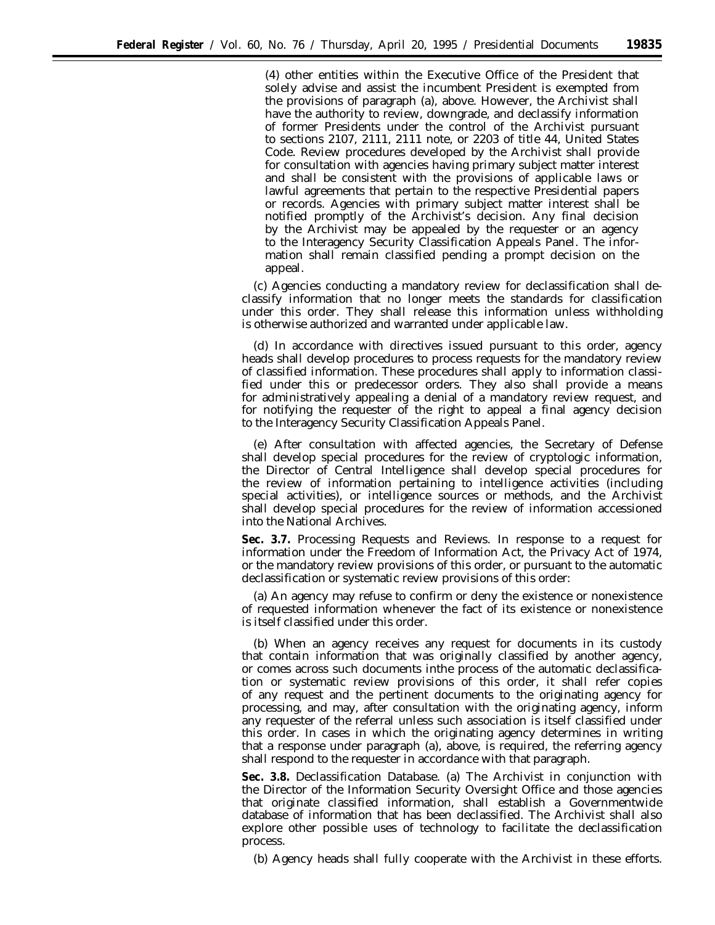(4) other entities within the Executive Office of the President that solely advise and assist the incumbent President is exempted from the provisions of paragraph (a), above. However, the Archivist shall have the authority to review, downgrade, and declassify information of former Presidents under the control of the Archivist pursuant to sections 2107, 2111, 2111 note, or 2203 of title 44, United States Code. Review procedures developed by the Archivist shall provide for consultation with agencies having primary subject matter interest and shall be consistent with the provisions of applicable laws or lawful agreements that pertain to the respective Presidential papers or records. Agencies with primary subject matter interest shall be notified promptly of the Archivist's decision. Any final decision by the Archivist may be appealed by the requester or an agency to the Interagency Security Classification Appeals Panel. The information shall remain classified pending a prompt decision on the appeal.

(c) Agencies conducting a mandatory review for declassification shall declassify information that no longer meets the standards for classification under this order. They shall release this information unless withholding is otherwise authorized and warranted under applicable law.

(d) In accordance with directives issued pursuant to this order, agency heads shall develop procedures to process requests for the mandatory review of classified information. These procedures shall apply to information classified under this or predecessor orders. They also shall provide a means for administratively appealing a denial of a mandatory review request, and for notifying the requester of the right to appeal a final agency decision to the Interagency Security Classification Appeals Panel.

(e) After consultation with affected agencies, the Secretary of Defense shall develop special procedures for the review of cryptologic information, the Director of Central Intelligence shall develop special procedures for the review of information pertaining to intelligence activities (including special activities), or intelligence sources or methods, and the Archivist shall develop special procedures for the review of information accessioned into the National Archives.

**Sec. 3.7.** *Processing Requests and Reviews*. In response to a request for information under the Freedom of Information Act, the Privacy Act of 1974, or the mandatory review provisions of this order, or pursuant to the automatic declassification or systematic review provisions of this order:

(a) An agency may refuse to confirm or deny the existence or nonexistence of requested information whenever the fact of its existence or nonexistence is itself classified under this order.

(b) When an agency receives any request for documents in its custody that contain information that was originally classified by another agency, or comes across such documents inthe process of the automatic declassification or systematic review provisions of this order, it shall refer copies of any request and the pertinent documents to the originating agency for processing, and may, after consultation with the originating agency, inform any requester of the referral unless such association is itself classified under this order. In cases in which the originating agency determines in writing that a response under paragraph (a), above, is required, the referring agency shall respond to the requester in accordance with that paragraph.

**Sec. 3.8.** *Declassification Database*. (a) The Archivist in conjunction with the Director of the Information Security Oversight Office and those agencies that originate classified information, shall establish a Governmentwide database of information that has been declassified. The Archivist shall also explore other possible uses of technology to facilitate the declassification process.

(b) Agency heads shall fully cooperate with the Archivist in these efforts.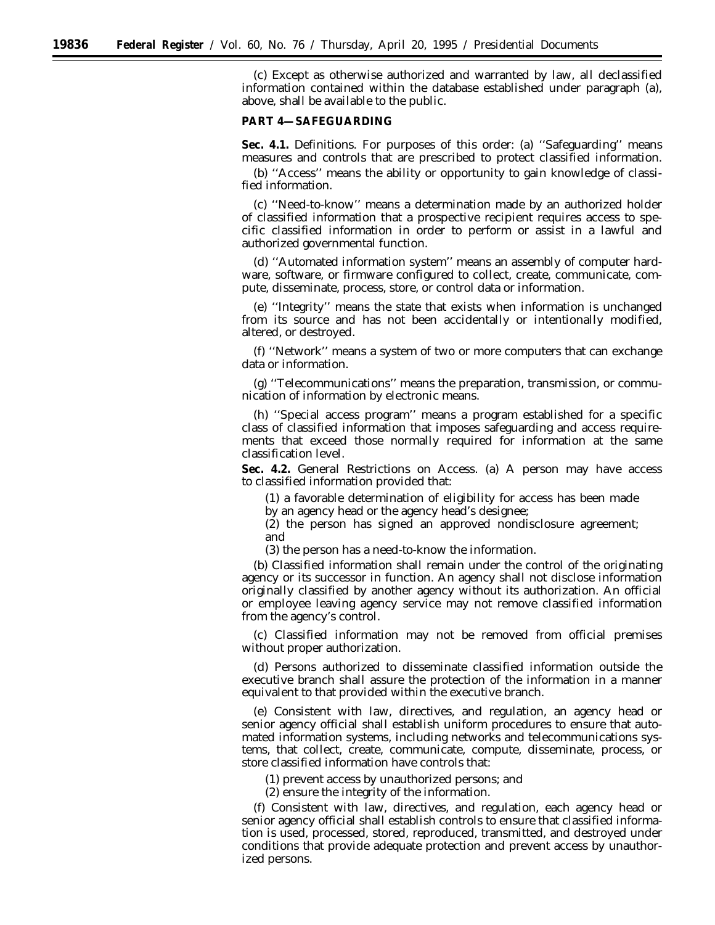(c) Except as otherwise authorized and warranted by law, all declassified information contained within the database established under paragraph (a), above, shall be available to the public.

#### **PART 4—SAFEGUARDING**

**Sec. 4.1.** *Definitions.* For purposes of this order: (a) ''Safeguarding'' means measures and controls that are prescribed to protect classified information.

(b) ''Access'' means the ability or opportunity to gain knowledge of classified information.

(c) ''Need-to-know'' means a determination made by an authorized holder of classified information that a prospective recipient requires access to specific classified information in order to perform or assist in a lawful and authorized governmental function.

(d) ''Automated information system'' means an assembly of computer hardware, software, or firmware configured to collect, create, communicate, compute, disseminate, process, store, or control data or information.

(e) ''Integrity'' means the state that exists when information is unchanged from its source and has not been accidentally or intentionally modified, altered, or destroyed.

(f) ''Network'' means a system of two or more computers that can exchange data or information.

(g) ''Telecommunications'' means the preparation, transmission, or communication of information by electronic means.

(h) ''Special access program'' means a program established for a specific class of classified information that imposes safeguarding and access requirements that exceed those normally required for information at the same classification level.

**Sec. 4.2.** *General Restrictions on Access*. (a) A person may have access to classified information provided that:

(1) a favorable determination of eligibility for access has been made

by an agency head or the agency head's designee;

(2) the person has signed an approved nondisclosure agreement; and

(3) the person has a need-to-know the information.

(b) Classified information shall remain under the control of the originating agency or its successor in function. An agency shall not disclose information originally classified by another agency without its authorization. An official or employee leaving agency service may not remove classified information from the agency's control.

(c) Classified information may not be removed from official premises without proper authorization.

(d) Persons authorized to disseminate classified information outside the executive branch shall assure the protection of the information in a manner equivalent to that provided within the executive branch.

(e) Consistent with law, directives, and regulation, an agency head or senior agency official shall establish uniform procedures to ensure that automated information systems, including networks and telecommunications systems, that collect, create, communicate, compute, disseminate, process, or store classified information have controls that:

(1) prevent access by unauthorized persons; and

(2) ensure the integrity of the information.

(f) Consistent with law, directives, and regulation, each agency head or senior agency official shall establish controls to ensure that classified information is used, processed, stored, reproduced, transmitted, and destroyed under conditions that provide adequate protection and prevent access by unauthorized persons.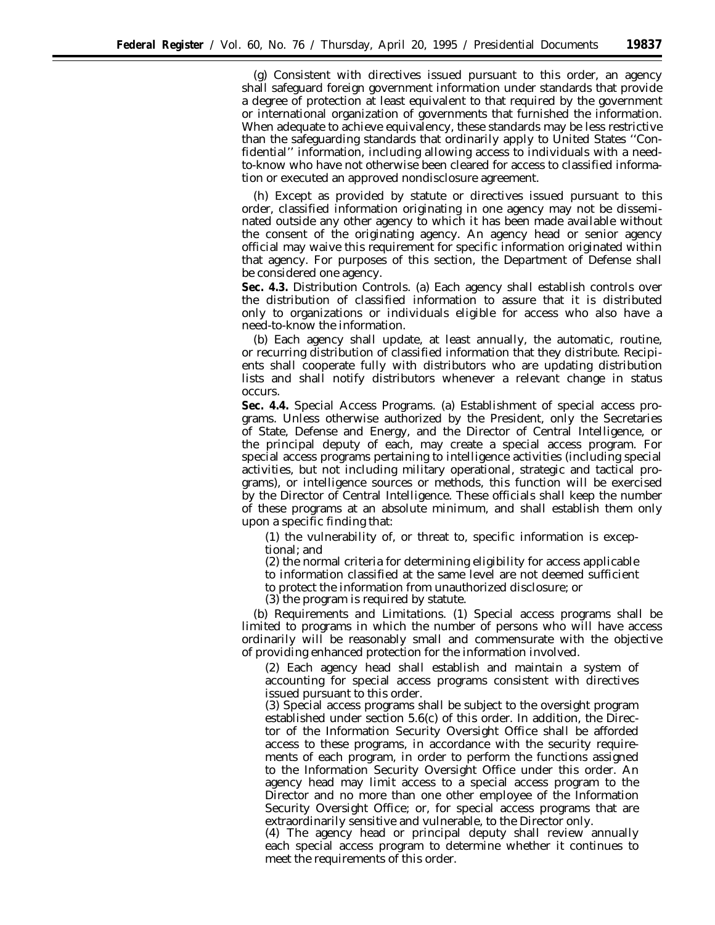(g) Consistent with directives issued pursuant to this order, an agency shall safeguard foreign government information under standards that provide a degree of protection at least equivalent to that required by the government or international organization of governments that furnished the information. When adequate to achieve equivalency, these standards may be less restrictive than the safeguarding standards that ordinarily apply to United States ''Confidential'' information, including allowing access to individuals with a needto-know who have not otherwise been cleared for access to classified information or executed an approved nondisclosure agreement.

(h) Except as provided by statute or directives issued pursuant to this order, classified information originating in one agency may not be disseminated outside any other agency to which it has been made available without the consent of the originating agency. An agency head or senior agency official may waive this requirement for specific information originated within that agency. For purposes of this section, the Department of Defense shall be considered one agency.

**Sec. 4.3.** *Distribution Controls*. (a) Each agency shall establish controls over the distribution of classified information to assure that it is distributed only to organizations or individuals eligible for access who also have a need-to-know the information.

(b) Each agency shall update, at least annually, the automatic, routine, or recurring distribution of classified information that they distribute. Recipients shall cooperate fully with distributors who are updating distribution lists and shall notify distributors whenever a relevant change in status occurs.

**Sec. 4.4.** *Special Access Programs*. (a) Establishment of special access programs. Unless otherwise authorized by the President, only the Secretaries of State, Defense and Energy, and the Director of Central Intelligence, or the principal deputy of each, may create a special access program. For special access programs pertaining to intelligence activities (including special activities, but not including military operational, strategic and tactical programs), or intelligence sources or methods, this function will be exercised by the Director of Central Intelligence. These officials shall keep the number of these programs at an absolute minimum, and shall establish them only upon a specific finding that:

(1) the vulnerability of, or threat to, specific information is exceptional; and

(2) the normal criteria for determining eligibility for access applicable

to information classified at the same level are not deemed sufficient

to protect the information from unauthorized disclosure; or

(3) the program is required by statute.

(b) *Requirements and Limitations*. (1) Special access programs shall be limited to programs in which the number of persons who will have access ordinarily will be reasonably small and commensurate with the objective of providing enhanced protection for the information involved.

(2) Each agency head shall establish and maintain a system of accounting for special access programs consistent with directives issued pursuant to this order.

(3) Special access programs shall be subject to the oversight program established under section 5.6(c) of this order. In addition, the Director of the Information Security Oversight Office shall be afforded access to these programs, in accordance with the security requirements of each program, in order to perform the functions assigned to the Information Security Oversight Office under this order. An agency head may limit access to a special access program to the Director and no more than one other employee of the Information Security Oversight Office; or, for special access programs that are extraordinarily sensitive and vulnerable, to the Director only.

(4) The agency head or principal deputy shall review annually each special access program to determine whether it continues to meet the requirements of this order.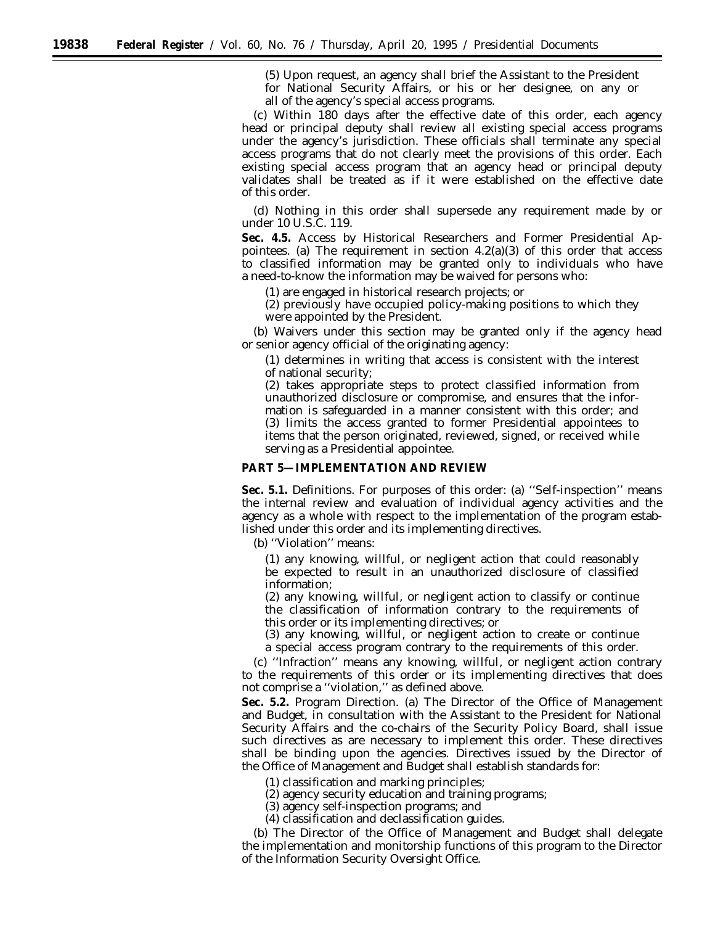(5) Upon request, an agency shall brief the Assistant to the President for National Security Affairs, or his or her designee, on any or all of the agency's special access programs.

(c) Within 180 days after the effective date of this order, each agency head or principal deputy shall review all existing special access programs under the agency's jurisdiction. These officials shall terminate any special access programs that do not clearly meet the provisions of this order. Each existing special access program that an agency head or principal deputy validates shall be treated as if it were established on the effective date of this order.

(d) Nothing in this order shall supersede any requirement made by or under 10 U.S.C. 119.

**Sec. 4.5.** *Access by Historical Researchers and Former Presidential Appointees.* (a) The requirement in section 4.2(a)(3) of this order that access to classified information may be granted only to individuals who have a need-to-know the information may be waived for persons who:

(1) are engaged in historical research projects; or

(2) previously have occupied policy-making positions to which they were appointed by the President.

(b) Waivers under this section may be granted only if the agency head or senior agency official of the originating agency:

(1) determines in writing that access is consistent with the interest of national security;

(2) takes appropriate steps to protect classified information from unauthorized disclosure or compromise, and ensures that the information is safeguarded in a manner consistent with this order; and (3) limits the access granted to former Presidential appointees to items that the person originated, reviewed, signed, or received while serving as a Presidential appointee.

#### **PART 5—IMPLEMENTATION AND REVIEW**

**Sec. 5.1.** *Definitions*. For purposes of this order: (a) ''Self-inspection'' means the internal review and evaluation of individual agency activities and the agency as a whole with respect to the implementation of the program established under this order and its implementing directives.

(b) ''Violation'' means:

(1) any knowing, willful, or negligent action that could reasonably be expected to result in an unauthorized disclosure of classified information;

(2) any knowing, willful, or negligent action to classify or continue the classification of information contrary to the requirements of this order or its implementing directives; or

(3) any knowing, willful, or negligent action to create or continue

a special access program contrary to the requirements of this order.

(c) ''Infraction'' means any knowing, willful, or negligent action contrary to the requirements of this order or its implementing directives that does not comprise a ''violation,'' as defined above.

**Sec. 5.2.** *Program Direction.* (a) The Director of the Office of Management and Budget, in consultation with the Assistant to the President for National Security Affairs and the co-chairs of the Security Policy Board, shall issue such directives as are necessary to implement this order. These directives shall be binding upon the agencies. Directives issued by the Director of the Office of Management and Budget shall establish standards for:

(1) classification and marking principles;

(2) agency security education and training programs;

(3) agency self-inspection programs; and

(4) classification and declassification guides.

(b) The Director of the Office of Management and Budget shall delegate the implementation and monitorship functions of this program to the Director of the Information Security Oversight Office.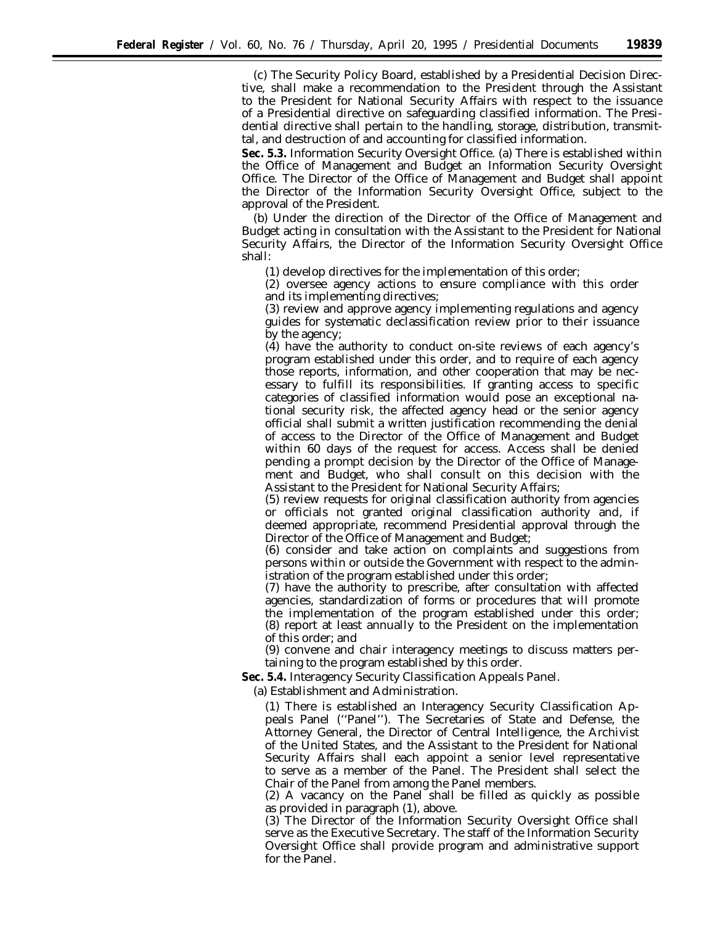(c) The Security Policy Board, established by a Presidential Decision Directive, shall make a recommendation to the President through the Assistant to the President for National Security Affairs with respect to the issuance of a Presidential directive on safeguarding classified information. The Presidential directive shall pertain to the handling, storage, distribution, transmittal, and destruction of and accounting for classified information.

**Sec. 5.3.** *Information Security Oversight Office.* (a) There is established within the Office of Management and Budget an Information Security Oversight Office. The Director of the Office of Management and Budget shall appoint the Director of the Information Security Oversight Office, subject to the approval of the President.

(b) Under the direction of the Director of the Office of Management and Budget acting in consultation with the Assistant to the President for National Security Affairs, the Director of the Information Security Oversight Office shall:

(1) develop directives for the implementation of this order;

(2) oversee agency actions to ensure compliance with this order and its implementing directives;

(3) review and approve agency implementing regulations and agency guides for systematic declassification review prior to their issuance by the agency;

(4) have the authority to conduct on-site reviews of each agency's program established under this order, and to require of each agency those reports, information, and other cooperation that may be necessary to fulfill its responsibilities. If granting access to specific categories of classified information would pose an exceptional national security risk, the affected agency head or the senior agency official shall submit a written justification recommending the denial of access to the Director of the Office of Management and Budget within 60 days of the request for access. Access shall be denied pending a prompt decision by the Director of the Office of Management and Budget, who shall consult on this decision with the Assistant to the President for National Security Affairs;

(5) review requests for original classification authority from agencies or officials not granted original classification authority and, if deemed appropriate, recommend Presidential approval through the Director of the Office of Management and Budget;

(6) consider and take action on complaints and suggestions from persons within or outside the Government with respect to the administration of the program established under this order;

(7) have the authority to prescribe, after consultation with affected agencies, standardization of forms or procedures that will promote the implementation of the program established under this order; (8) report at least annually to the President on the implementation of this order; and

(9) convene and chair interagency meetings to discuss matters pertaining to the program established by this order.

**Sec. 5.4.** *Interagency Security Classification Appeals Panel*.

(a) Establishment and Administration.

(1) There is established an Interagency Security Classification Appeals Panel (''Panel''). The Secretaries of State and Defense, the Attorney General, the Director of Central Intelligence, the Archivist of the United States, and the Assistant to the President for National Security Affairs shall each appoint a senior level representative to serve as a member of the Panel. The President shall select the Chair of the Panel from among the Panel members.

(2) A vacancy on the Panel shall be filled as quickly as possible as provided in paragraph (1), above.

(3) The Director of the Information Security Oversight Office shall serve as the Executive Secretary. The staff of the Information Security Oversight Office shall provide program and administrative support for the Panel.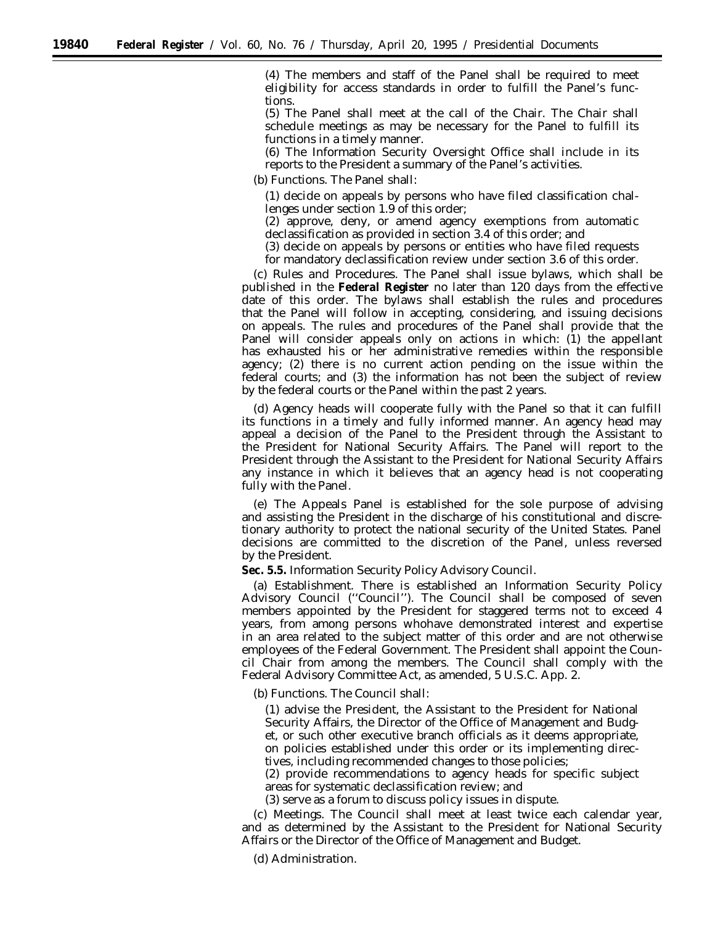(4) The members and staff of the Panel shall be required to meet eligibility for access standards in order to fulfill the Panel's functions.

(5) The Panel shall meet at the call of the Chair. The Chair shall schedule meetings as may be necessary for the Panel to fulfill its functions in a timely manner.

(6) The Information Security Oversight Office shall include in its reports to the President a summary of the Panel's activities.

(b) *Functions*. The Panel shall:

(1) decide on appeals by persons who have filed classification challenges under section 1.9 of this order;

(2) approve, deny, or amend agency exemptions from automatic

declassification as provided in section 3.4 of this order; and

(3) decide on appeals by persons or entities who have filed requests

for mandatory declassification review under section 3.6 of this order.

(c) *Rules and Procedures*. The Panel shall issue bylaws, which shall be published in the **Federal Register** no later than 120 days from the effective date of this order. The bylaws shall establish the rules and procedures that the Panel will follow in accepting, considering, and issuing decisions on appeals. The rules and procedures of the Panel shall provide that the Panel will consider appeals only on actions in which: (1) the appellant has exhausted his or her administrative remedies within the responsible agency; (2) there is no current action pending on the issue within the federal courts; and (3) the information has not been the subject of review by the federal courts or the Panel within the past 2 years.

(d) Agency heads will cooperate fully with the Panel so that it can fulfill its functions in a timely and fully informed manner. An agency head may appeal a decision of the Panel to the President through the Assistant to the President for National Security Affairs. The Panel will report to the President through the Assistant to the President for National Security Affairs any instance in which it believes that an agency head is not cooperating fully with the Panel.

(e) The Appeals Panel is established for the sole purpose of advising and assisting the President in the discharge of his constitutional and discretionary authority to protect the national security of the United States. Panel decisions are committed to the discretion of the Panel, unless reversed by the President.

**Sec. 5.5.** *Information Security Policy Advisory Council.*

(a) *Establishment*. There is established an Information Security Policy Advisory Council (''Council''). The Council shall be composed of seven members appointed by the President for staggered terms not to exceed 4 years, from among persons whohave demonstrated interest and expertise in an area related to the subject matter of this order and are not otherwise employees of the Federal Government. The President shall appoint the Council Chair from among the members. The Council shall comply with the Federal Advisory Committee Act, as amended, 5 U.S.C. App. 2.

(b) *Functions*. The Council shall:

(1) advise the President, the Assistant to the President for National Security Affairs, the Director of the Office of Management and Budget, or such other executive branch officials as it deems appropriate, on policies established under this order or its implementing direc-

tives, including recommended changes to those policies;

(2) provide recommendations to agency heads for specific subject areas for systematic declassification review; and

(3) serve as a forum to discuss policy issues in dispute.

(c) *Meetings*. The Council shall meet at least twice each calendar year, and as determined by the Assistant to the President for National Security Affairs or the Director of the Office of Management and Budget.

(d) *Administration*.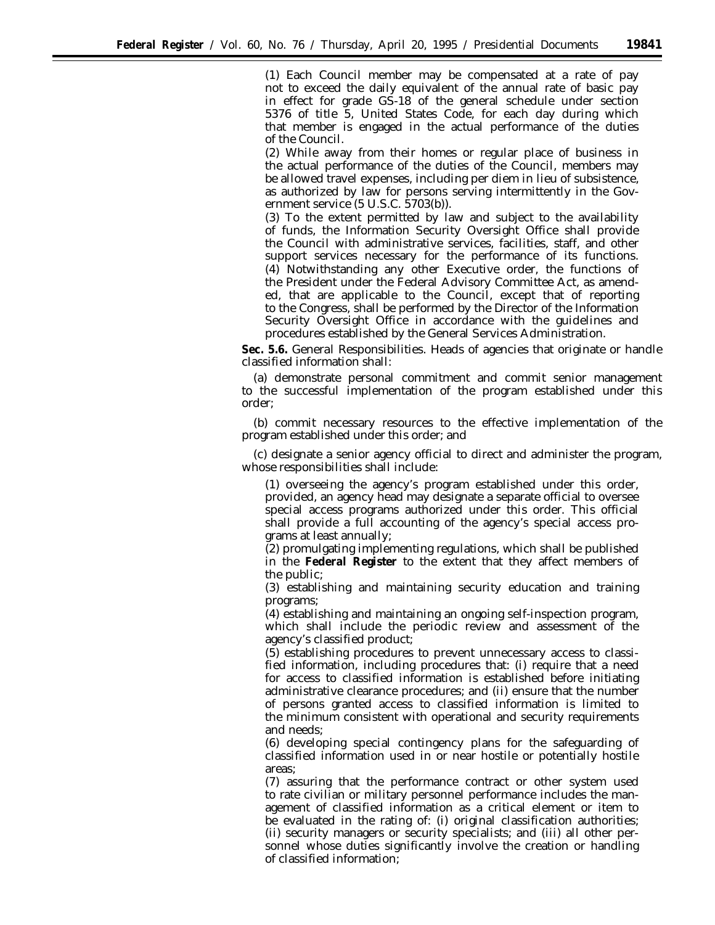(1) Each Council member may be compensated at a rate of pay not to exceed the daily equivalent of the annual rate of basic pay in effect for grade GS-18 of the general schedule under section 5376 of title 5, United States Code, for each day during which that member is engaged in the actual performance of the duties of the Council.

(2) While away from their homes or regular place of business in the actual performance of the duties of the Council, members may be allowed travel expenses, including per diem in lieu of subsistence, as authorized by law for persons serving intermittently in the Government service (5 U.S.C. 5703(b)).

(3) To the extent permitted by law and subject to the availability of funds, the Information Security Oversight Office shall provide the Council with administrative services, facilities, staff, and other support services necessary for the performance of its functions. (4) Notwithstanding any other Executive order, the functions of the President under the Federal Advisory Committee Act, as amended, that are applicable to the Council, except that of reporting to the Congress, shall be performed by the Director of the Information Security Oversight Office in accordance with the guidelines and procedures established by the General Services Administration.

**Sec. 5.6.** *General Responsibilities.* Heads of agencies that originate or handle classified information shall:

(a) demonstrate personal commitment and commit senior management to the successful implementation of the program established under this order;

(b) commit necessary resources to the effective implementation of the program established under this order; and

(c) designate a senior agency official to direct and administer the program, whose responsibilities shall include:

(1) overseeing the agency's program established under this order, provided, an agency head may designate a separate official to oversee special access programs authorized under this order. This official shall provide a full accounting of the agency's special access programs at least annually;

(2) promulgating implementing regulations, which shall be published in the **Federal Register** to the extent that they affect members of the public;

(3) establishing and maintaining security education and training programs;

(4) establishing and maintaining an ongoing self-inspection program, which shall include the periodic review and assessment of the agency's classified product;

(5) establishing procedures to prevent unnecessary access to classified information, including procedures that: (i) require that a need for access to classified information is established before initiating administrative clearance procedures; and (ii) ensure that the number of persons granted access to classified information is limited to the minimum consistent with operational and security requirements and needs;

(6) developing special contingency plans for the safeguarding of classified information used in or near hostile or potentially hostile areas;

(7) assuring that the performance contract or other system used to rate civilian or military personnel performance includes the management of classified information as a critical element or item to be evaluated in the rating of: (i) original classification authorities; (ii) security managers or security specialists; and (iii) all other personnel whose duties significantly involve the creation or handling of classified information;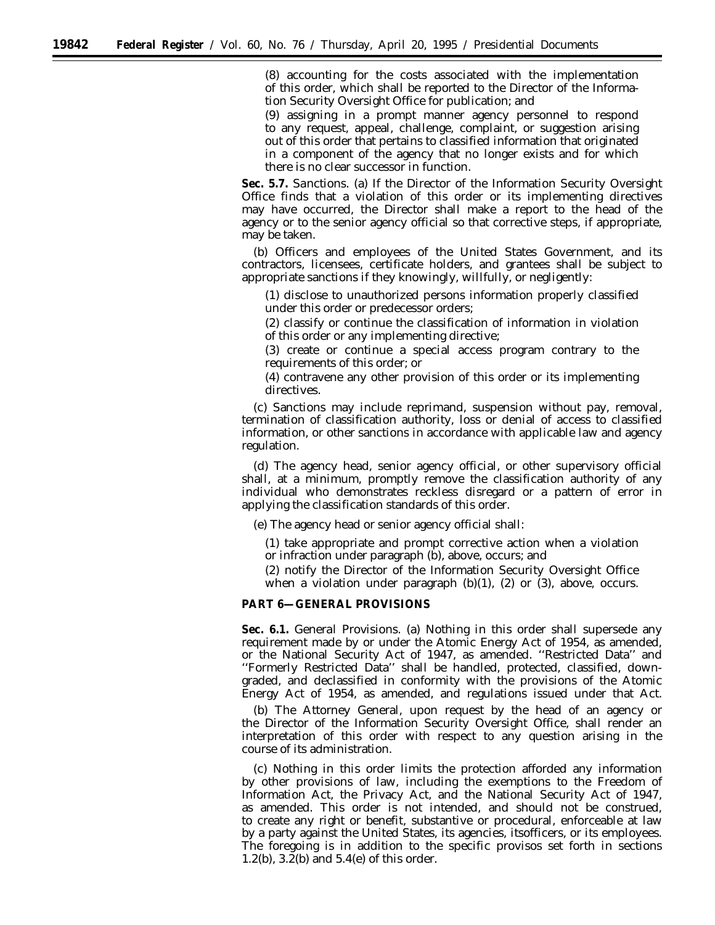(8) accounting for the costs associated with the implementation of this order, which shall be reported to the Director of the Information Security Oversight Office for publication; and

(9) assigning in a prompt manner agency personnel to respond to any request, appeal, challenge, complaint, or suggestion arising out of this order that pertains to classified information that originated in a component of the agency that no longer exists and for which there is no clear successor in function.

**Sec. 5.7.** *Sanctions.* (a) If the Director of the Information Security Oversight Office finds that a violation of this order or its implementing directives may have occurred, the Director shall make a report to the head of the agency or to the senior agency official so that corrective steps, if appropriate, may be taken.

(b) Officers and employees of the United States Government, and its contractors, licensees, certificate holders, and grantees shall be subject to appropriate sanctions if they knowingly, willfully, or negligently:

(1) disclose to unauthorized persons information properly classified under this order or predecessor orders;

(2) classify or continue the classification of information in violation of this order or any implementing directive;

(3) create or continue a special access program contrary to the requirements of this order; or

(4) contravene any other provision of this order or its implementing directives.

(c) Sanctions may include reprimand, suspension without pay, removal, termination of classification authority, loss or denial of access to classified information, or other sanctions in accordance with applicable law and agency regulation.

(d) The agency head, senior agency official, or other supervisory official shall, at a minimum, promptly remove the classification authority of any individual who demonstrates reckless disregard or a pattern of error in applying the classification standards of this order.

(e) The agency head or senior agency official shall:

(1) take appropriate and prompt corrective action when a violation or infraction under paragraph (b), above, occurs; and

(2) notify the Director of the Information Security Oversight Office when a violation under paragraph  $(b)(1)$ ,  $(2)$  or  $(3)$ , above, occurs.

### **PART 6—GENERAL PROVISIONS**

**Sec. 6.1.** *General Provisions*. (a) Nothing in this order shall supersede any requirement made by or under the Atomic Energy Act of 1954, as amended, or the National Security Act of 1947, as amended. ''Restricted Data'' and ''Formerly Restricted Data'' shall be handled, protected, classified, downgraded, and declassified in conformity with the provisions of the Atomic Energy Act of 1954, as amended, and regulations issued under that Act.

(b) The Attorney General, upon request by the head of an agency or the Director of the Information Security Oversight Office, shall render an interpretation of this order with respect to any question arising in the course of its administration.

(c) Nothing in this order limits the protection afforded any information by other provisions of law, including the exemptions to the Freedom of Information Act, the Privacy Act, and the National Security Act of 1947, as amended. This order is not intended, and should not be construed, to create any right or benefit, substantive or procedural, enforceable at law by a party against the United States, its agencies, itsofficers, or its employees. The foregoing is in addition to the specific provisos set forth in sections 1.2(b), 3.2(b) and 5.4(e) of this order.